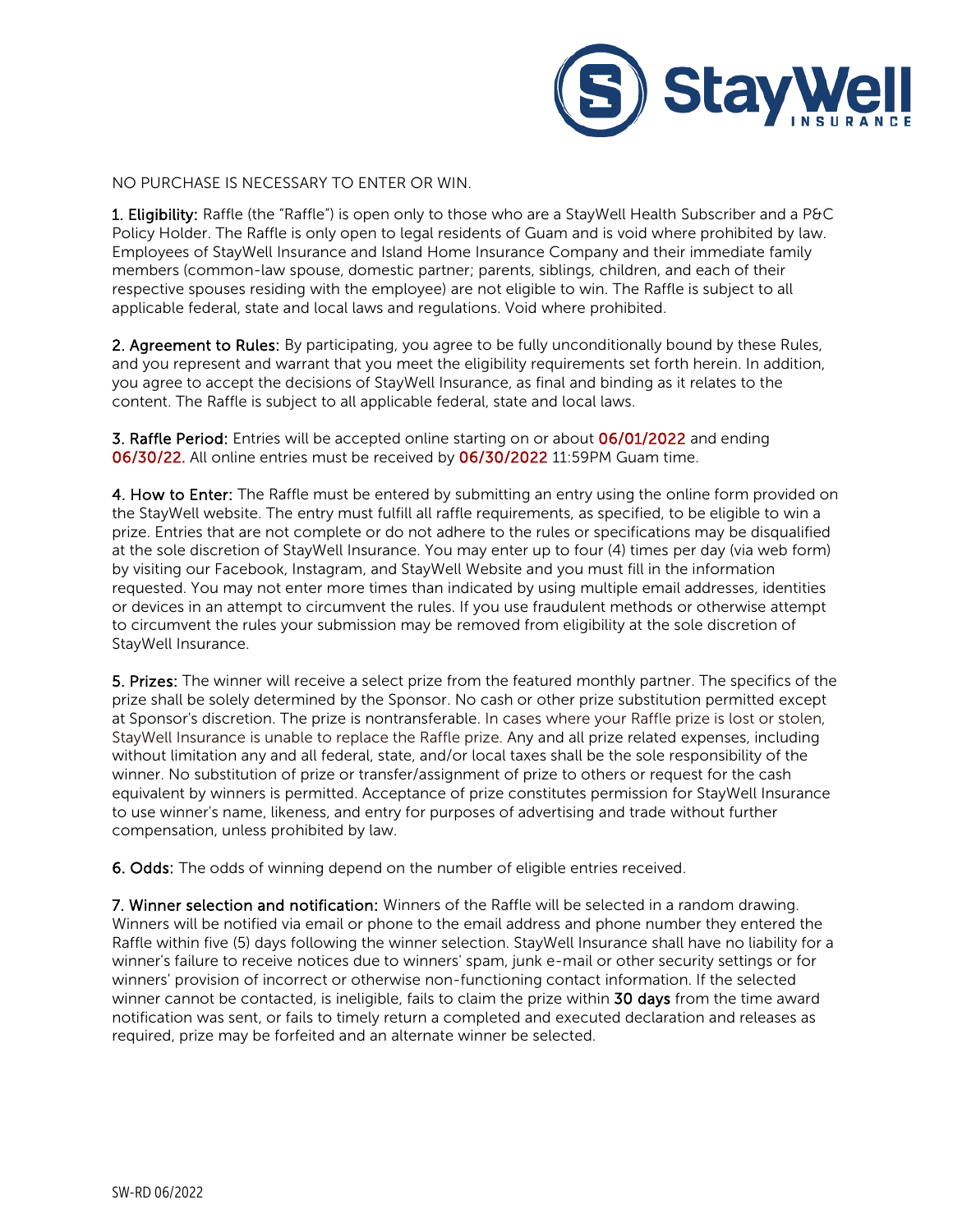

NO PURCHASE IS NECESSARY TO ENTER OR WIN.

1. Eligibility: Raffle (the "Raffle") is open only to those who are a StayWell Health Subscriber and a P&C Policy Holder. The Raffle is only open to legal residents of Guam and is void where prohibited by law. Employees of StayWell Insurance and Island Home Insurance Company and their immediate family members (common-law spouse, domestic partner; parents, siblings, children, and each of their respective spouses residing with the employee) are not eligible to win. The Raffle is subject to all applicable federal, state and local laws and regulations. Void where prohibited.

2. Agreement to Rules: By participating, you agree to be fully unconditionally bound by these Rules, and you represent and warrant that you meet the eligibility requirements set forth herein. In addition, you agree to accept the decisions of StayWell Insurance, as final and binding as it relates to the content. The Raffle is subject to all applicable federal, state and local laws.

3. Raffle Period: Entries will be accepted online starting on or about 06/01/2022 and ending 06/30/22. All online entries must be received by 06/30/2022 11:59PM Guam time.

4. How to Enter: The Raffle must be entered by submitting an entry using the online form provided on the StayWell website. The entry must fulfill all raffle requirements, as specified, to be eligible to win a prize. Entries that are not complete or do not adhere to the rules or specifications may be disqualified at the sole discretion of StayWell Insurance. You may enter up to four (4) times per day (via web form) by visiting our Facebook, Instagram, and StayWell Website and you must fill in the information requested. You may not enter more times than indicated by using multiple email addresses, identities or devices in an attempt to circumvent the rules. If you use fraudulent methods or otherwise attempt to circumvent the rules your submission may be removed from eligibility at the sole discretion of StayWell Insurance.

5. Prizes: The winner will receive a select prize from the featured monthly partner. The specifics of the prize shall be solely determined by the Sponsor. No cash or other prize substitution permitted except at Sponsor's discretion. The prize is nontransferable. In cases where your Raffle prize is lost or stolen, StayWell Insurance is unable to replace the Raffle prize. Any and all prize related expenses, including without limitation any and all federal, state, and/or local taxes shall be the sole responsibility of the winner. No substitution of prize or transfer/assignment of prize to others or request for the cash equivalent by winners is permitted. Acceptance of prize constitutes permission for StayWell Insurance to use winner's name, likeness, and entry for purposes of advertising and trade without further compensation, unless prohibited by law.

6. Odds: The odds of winning depend on the number of eligible entries received.

7. Winner selection and notification: Winners of the Raffle will be selected in a random drawing. Winners will be notified via email or phone to the email address and phone number they entered the Raffle within five (5) days following the winner selection. StayWell Insurance shall have no liability for a winner's failure to receive notices due to winners' spam, junk e-mail or other security settings or for winners' provision of incorrect or otherwise non-functioning contact information. If the selected winner cannot be contacted, is ineligible, fails to claim the prize within 30 days from the time award notification was sent, or fails to timely return a completed and executed declaration and releases as required, prize may be forfeited and an alternate winner be selected.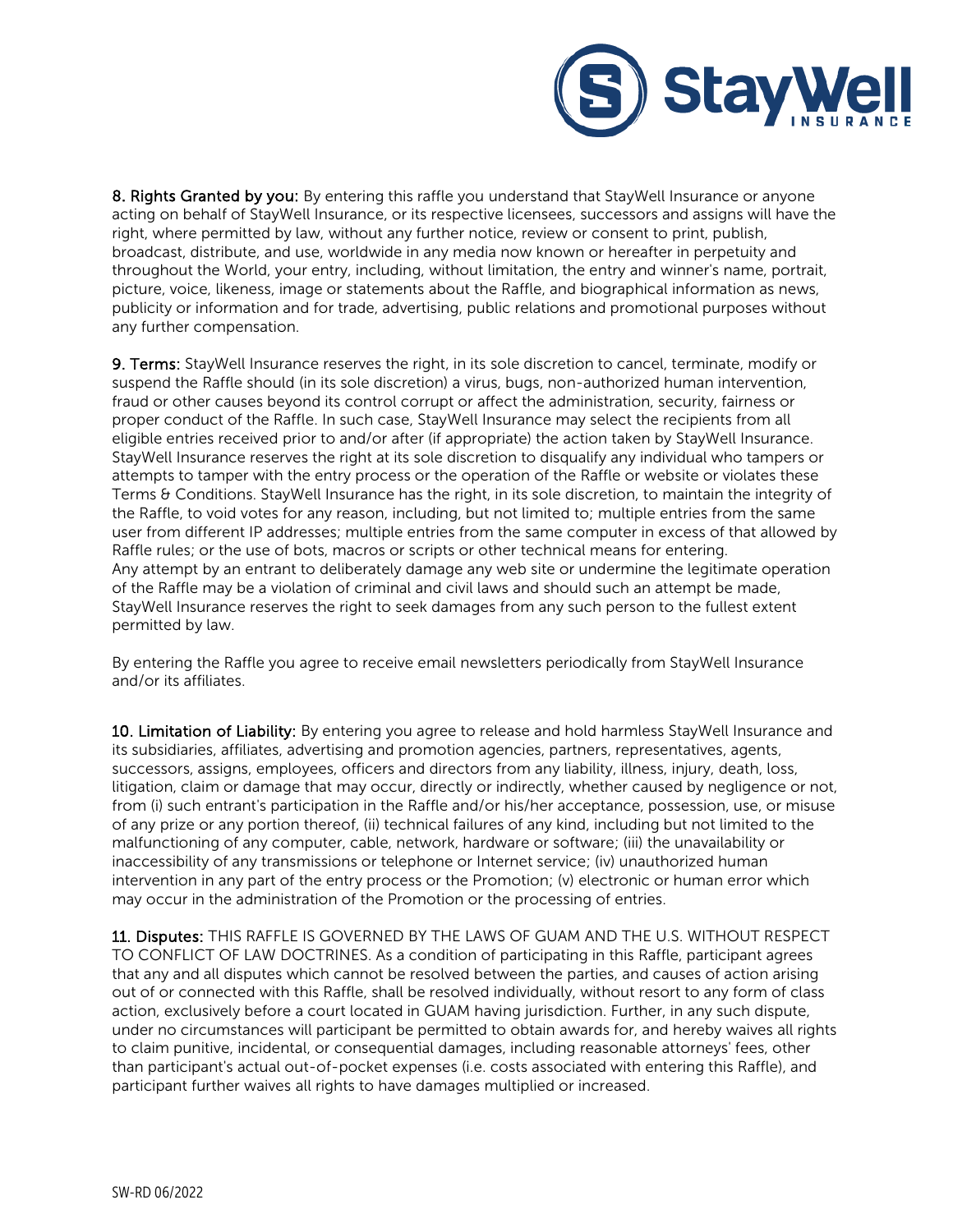

8. Rights Granted by you: By entering this raffle you understand that StayWell Insurance or anyone acting on behalf of StayWell Insurance, or its respective licensees, successors and assigns will have the right, where permitted by law, without any further notice, review or consent to print, publish, broadcast, distribute, and use, worldwide in any media now known or hereafter in perpetuity and throughout the World, your entry, including, without limitation, the entry and winner's name, portrait, picture, voice, likeness, image or statements about the Raffle, and biographical information as news, publicity or information and for trade, advertising, public relations and promotional purposes without any further compensation.

9. Terms: StayWell Insurance reserves the right, in its sole discretion to cancel, terminate, modify or suspend the Raffle should (in its sole discretion) a virus, bugs, non-authorized human intervention, fraud or other causes beyond its control corrupt or affect the administration, security, fairness or proper conduct of the Raffle. In such case, StayWell Insurance may select the recipients from all eligible entries received prior to and/or after (if appropriate) the action taken by StayWell Insurance. StayWell Insurance reserves the right at its sole discretion to disqualify any individual who tampers or attempts to tamper with the entry process or the operation of the Raffle or website or violates these Terms & Conditions. StayWell Insurance has the right, in its sole discretion, to maintain the integrity of the Raffle, to void votes for any reason, including, but not limited to; multiple entries from the same user from different IP addresses; multiple entries from the same computer in excess of that allowed by Raffle rules; or the use of bots, macros or scripts or other technical means for entering. Any attempt by an entrant to deliberately damage any web site or undermine the legitimate operation of the Raffle may be a violation of criminal and civil laws and should such an attempt be made, StayWell Insurance reserves the right to seek damages from any such person to the fullest extent permitted by law.

By entering the Raffle you agree to receive email newsletters periodically from StayWell Insurance and/or its affiliates.

10. Limitation of Liability: By entering you agree to release and hold harmless StayWell Insurance and its subsidiaries, affiliates, advertising and promotion agencies, partners, representatives, agents, successors, assigns, employees, officers and directors from any liability, illness, injury, death, loss, litigation, claim or damage that may occur, directly or indirectly, whether caused by negligence or not, from (i) such entrant's participation in the Raffle and/or his/her acceptance, possession, use, or misuse of any prize or any portion thereof, (ii) technical failures of any kind, including but not limited to the malfunctioning of any computer, cable, network, hardware or software; (iii) the unavailability or inaccessibility of any transmissions or telephone or Internet service; (iv) unauthorized human intervention in any part of the entry process or the Promotion; (v) electronic or human error which may occur in the administration of the Promotion or the processing of entries.

11. Disputes: THIS RAFFLE IS GOVERNED BY THE LAWS OF GUAM AND THE U.S. WITHOUT RESPECT TO CONFLICT OF LAW DOCTRINES. As a condition of participating in this Raffle, participant agrees that any and all disputes which cannot be resolved between the parties, and causes of action arising out of or connected with this Raffle, shall be resolved individually, without resort to any form of class action, exclusively before a court located in GUAM having jurisdiction. Further, in any such dispute, under no circumstances will participant be permitted to obtain awards for, and hereby waives all rights to claim punitive, incidental, or consequential damages, including reasonable attorneys' fees, other than participant's actual out-of-pocket expenses (i.e. costs associated with entering this Raffle), and participant further waives all rights to have damages multiplied or increased.